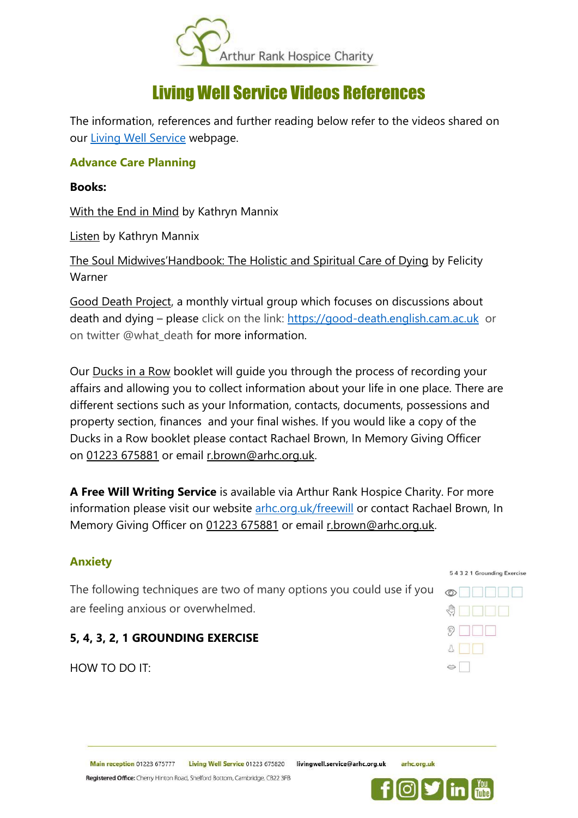

# Living Well Service Videos References

The information, references and further reading below refer to the videos shared on our [Living Well Service](https://www.arhc.org.uk/supporting-you/care-services/living-well/) webpage.

### **Advance Care Planning**

#### **Books:**

With the End in Mind by Kathryn Mannix

Listen by Kathryn Mannix

The Soul Midwives'Handbook: The Holistic and Spiritual Care of Dying by Felicity Warner

Good Death Project, a monthly virtual group which focuses on discussions about death and dying – please click on the link: [https://good-death.english.cam.ac.uk](https://good-death.english.cam.ac.uk/) or on twitter @what\_death for more information.

Our Ducks in a Row booklet will guide you through the process of recording your affairs and allowing you to collect information about your life in one place. There are different sections such as your Information, contacts, documents, possessions and property section, finances and your final wishes. If you would like a copy of the Ducks in a Row booklet please contact Rachael Brown, In Memory Giving Officer on [01223 675881](tel:01223675881) or email [r.brown@arhc.org.uk.](mailto:r.brown@arhc.org.uk)

**A Free Will Writing Service** is available via Arthur Rank Hospice Charity. For more information please visit our website [arhc.org.uk/freewill](https://www.arhc.org.uk/fundraising/ways-to-remember/leave-a-gift-in-your-will/free-wills-service/) or contact Rachael Brown, In Memory Giving Officer on [01223 675881](tel:01223675881) or email [r.brown@arhc.org.uk.](mailto:r.brown@arhc.org.uk)

# **Anxiety**

The following techniques are two of many options you could use if you are feeling anxious or overwhelmed.

# **5, 4, 3, 2, 1 GROUNDING EXERCISE**

HOW TO DO IT:



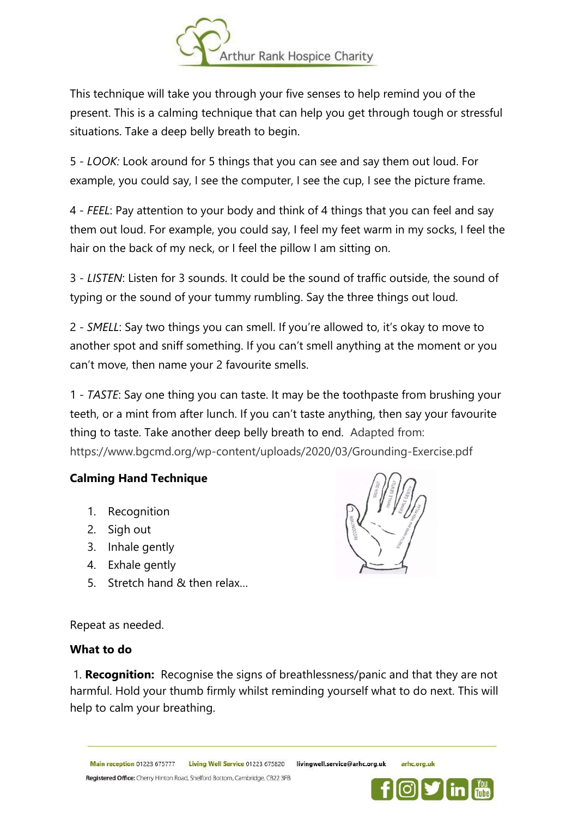

This technique will take you through your five senses to help remind you of the present. This is a calming technique that can help you get through tough or stressful situations. Take a deep belly breath to begin.

5 - *LOOK:* Look around for 5 things that you can see and say them out loud. For example, you could say, I see the computer, I see the cup, I see the picture frame.

4 - *FEEL*: Pay attention to your body and think of 4 things that you can feel and say them out loud. For example, you could say, I feel my feet warm in my socks, I feel the hair on the back of my neck, or I feel the pillow I am sitting on.

3 *- LISTEN*: Listen for 3 sounds. It could be the sound of traffic outside, the sound of typing or the sound of your tummy rumbling. Say the three things out loud.

2 - *SMELL*: Say two things you can smell. If you're allowed to, it's okay to move to another spot and sniff something. If you can't smell anything at the moment or you can't move, then name your 2 favourite smells.

1 - *TASTE*: Say one thing you can taste. It may be the toothpaste from brushing your teeth, or a mint from after lunch. If you can't taste anything, then say your favourite thing to taste. Take another deep belly breath to end. Adapted from: https://www.bgcmd.org/wp-content/uploads/2020/03/Grounding-Exercise.pdf

# **Calming Hand Technique**

- 1. Recognition
- 2. Sigh out
- 3. Inhale gently
- 4. Exhale gently
- 5. Stretch hand & then relax…



Repeat as needed.

# **What to do**

1. **Recognition:** Recognise the signs of breathlessness/panic and that they are not harmful. Hold your thumb firmly whilst reminding yourself what to do next. This will help to calm your breathing.

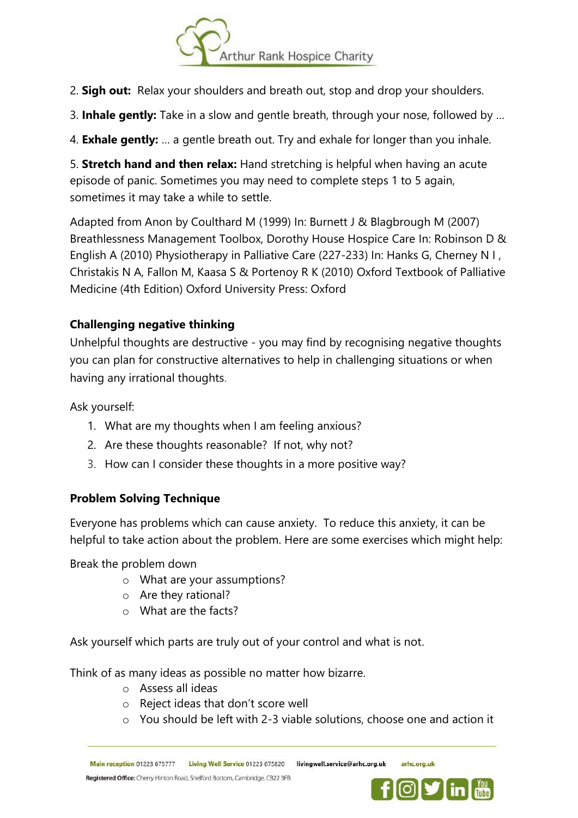

- 2. **Sigh out:** Relax your shoulders and breath out, stop and drop your shoulders.
- 3. **Inhale gently:** Take in a slow and gentle breath, through your nose, followed by …

4. **Exhale gently:** … a gentle breath out. Try and exhale for longer than you inhale.

5. **Stretch hand and then relax:** Hand stretching is helpful when having an acute episode of panic. Sometimes you may need to complete steps 1 to 5 again, sometimes it may take a while to settle.

Adapted from Anon by Coulthard M (1999) In: Burnett J & Blagbrough M (2007) Breathlessness Management Toolbox, Dorothy House Hospice Care In: Robinson D & English A (2010) Physiotherapy in Palliative Care (227-233) In: Hanks G, Cherney N I , Christakis N A, Fallon M, Kaasa S & Portenoy R K (2010) Oxford Textbook of Palliative Medicine (4th Edition) Oxford University Press: Oxford

# **Challenging negative thinking**

Unhelpful thoughts are destructive - you may find by recognising negative thoughts you can plan for constructive alternatives to help in challenging situations or when having any irrational thoughts.

Ask yourself:

- 1. What are my thoughts when I am feeling anxious?
- 2. Are these thoughts reasonable? If not, why not?
- 3. How can I consider these thoughts in a more positive way?

# **Problem Solving Technique**

Everyone has problems which can cause anxiety. To reduce this anxiety, it can be helpful to take action about the problem. Here are some exercises which might help:

Break the problem down

- o What are your assumptions?
- o Are they rational?
- o What are the facts?

Ask yourself which parts are truly out of your control and what is not.

Think of as many ideas as possible no matter how bizarre.

- o Assess all ideas
- o Reject ideas that don't score well
- o You should be left with 2-3 viable solutions, choose one and action it

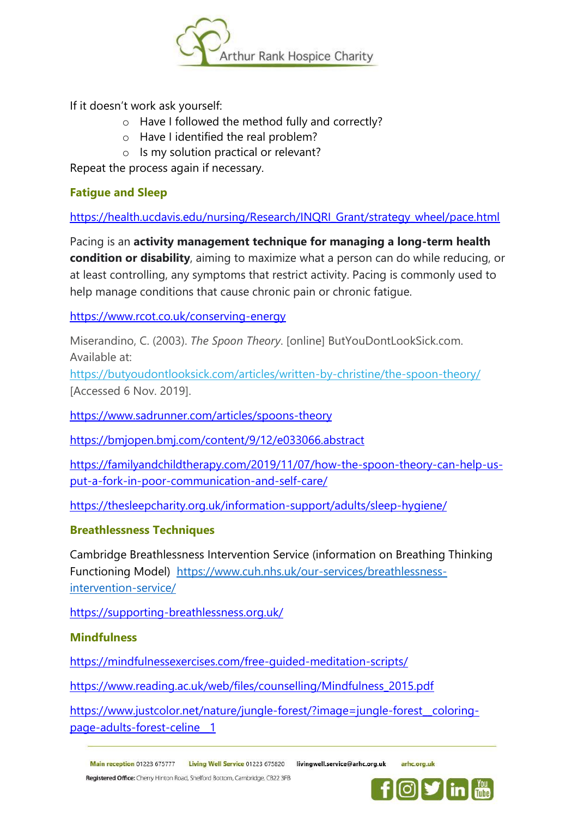

If it doesn't work ask yourself:

- o Have I followed the method fully and correctly?
- o Have I identified the real problem?
- o Is my solution practical or relevant?

Repeat the process again if necessary.

# **Fatigue and Sleep**

[https://health.ucdavis.edu/nursing/Research/INQRI\\_Grant/strategy\\_wheel/pace.html](https://health.ucdavis.edu/nursing/Research/INQRI_Grant/strategy_wheel/pace.html)

Pacing is an **activity management technique for managing a long-term health condition or disability**, aiming to maximize what a person can do while reducing, or at least controlling, any symptoms that restrict activity. Pacing is commonly used to help manage conditions that cause chronic pain or chronic fatigue.

<https://www.rcot.co.uk/conserving-energy>

Miserandino, C. (2003). *The Spoon Theory*. [online] ButYouDontLookSick.com. Available at:

<https://butyoudontlooksick.com/articles/written-by-christine/the-spoon-theory/> [Accessed 6 Nov. 2019].

<https://www.sadrunner.com/articles/spoons-theory>

<https://bmjopen.bmj.com/content/9/12/e033066.abstract>

[https://familyandchildtherapy.com/2019/11/07/how-the-spoon-theory-can-help-us](https://familyandchildtherapy.com/2019/11/07/how-the-spoon-theory-can-help-us-put-a-fork-in-poor-communication-and-self-care/)[put-a-fork-in-poor-communication-and-self-care/](https://familyandchildtherapy.com/2019/11/07/how-the-spoon-theory-can-help-us-put-a-fork-in-poor-communication-and-self-care/)

<https://thesleepcharity.org.uk/information-support/adults/sleep-hygiene/>

# **Breathlessness Techniques**

Cambridge Breathlessness Intervention Service (information on Breathing Thinking Functioning Model) [https://www.cuh.nhs.uk/our-services/breathlessness](https://www.cuh.nhs.uk/our-services/breathlessness-intervention-service/)[intervention-service/](https://www.cuh.nhs.uk/our-services/breathlessness-intervention-service/)

<https://supporting-breathlessness.org.uk/>

# **Mindfulness**

<https://mindfulnessexercises.com/free-guided-meditation-scripts/>

[https://www.reading.ac.uk/web/files/counselling/Mindfulness\\_2015.pdf](https://www.reading.ac.uk/web/files/counselling/Mindfulness_2015.pdf)

[https://www.justcolor.net/nature/jungle-forest/?image=jungle-forest\\_\\_coloring](https://www.justcolor.net/nature/jungle-forest/?image=jungle-forest__coloring-page-adults-forest-celine__1)[page-adults-forest-celine\\_\\_1](https://www.justcolor.net/nature/jungle-forest/?image=jungle-forest__coloring-page-adults-forest-celine__1)

Registered Office: Cherry Hinton Road, Shelford Bottom, Cambridge, CB22 3FB